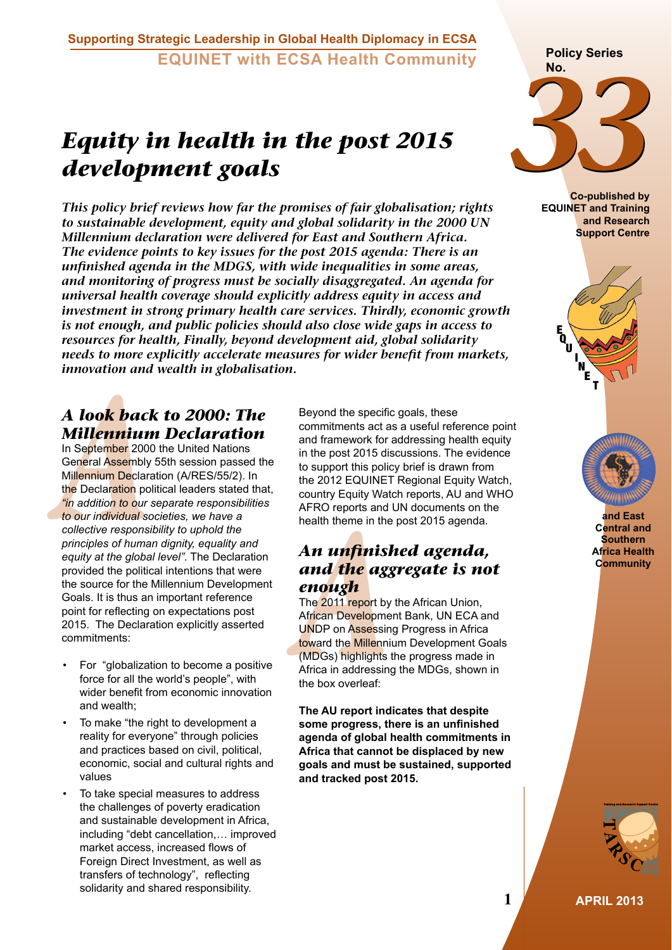## *Equity in health in the post 2015 development goals*

*This policy brief reviews how far the promises of fair globalisation; rights to sustainable development, equity and global solidarity in the 2000 UN Millennium declaration were delivered for East and Southern Africa. The evidence points to key issues for the post 2015 agenda: There is an unfinished agenda in the MDGS, with wide inequalities in some areas, and monitoring of progress must be socially disaggregated. An agenda for universal health coverage should explicitly address equity in access and investment in strong primary health care services. Thirdly, economic growth is not enough, and public policies should also close wide gaps in access to resources for health, Finally, beyond development aid, global solidarity needs to more explicitly accelerate measures for wider benefit from markets, innovation and wealth in globalisation.*

## *A look back to 2000: The Millennium Declaration*

*A Look back back back back back back and Millennium Declare and Assembly Millennium Declare and the Declaration po***<br>***A**Millennium Declare the Declaration po***<br>***in addition to our individual scollective responsition po* In September 2000 the United Nations General Assembly 55th session passed the Millennium Declaration (A/RES/55/2). In the Declaration political leaders stated that, *"in addition to our separate responsibilities to our individual societies, we have a collective responsibility to uphold the principles of human dignity, equality and equity at the global level"*. The Declaration provided the political intentions that were the source for the Millennium Development Goals. It is thus an important reference point for reflecting on expectations post 2015. The Declaration explicitly asserted commitments:

- For "globalization to become a positive force for all the world's people", with wider benefit from economic innovation and wealth;
- To make "the right to development a reality for everyone" through policies and practices based on civil, political, economic, social and cultural rights and values
- To take special measures to address the challenges of poverty eradication and sustainable development in Africa, including "debt cancellation,… improved market access, increased flows of Foreign Direct Investment, as well as transfers of technology", reflecting solidarity and shared responsibility.

Beyond the specific goals, these commitments act as a useful reference point and framework for addressing health equity in the post 2015 discussions. The evidence to support this policy brief is drawn from the 2012 EQUINET Regional Equity Watch, country Equity Watch reports, AU and WHO AFRO reports and UN documents on the health theme in the post 2015 agenda.

## *An unfinished agenda, and the aggregate is not enough*

*AFRO reports and*<br> *An unfinisiand the aggenough*<br>
The 2011 report by<br> *African Developme*<br> *Developme*<br> *UNDP on Assessitioward the Millenni*<br> *(MDGs) highlights*<br> *Africa in addressin*<br>
the box overleaf: The 2011 report by the African Union, African Development Bank, UN ECA and UNDP on Assessing Progress in Africa toward the Millennium Development Goals (MDGs) highlights the progress made in Africa in addressing the MDGs, shown in the box overleaf:

**The AU report indicates that despite some progress, there is an unfinished agenda of global health commitments in Africa that cannot be displaced by new goals and must be sustained, supported and tracked post 2015.**

# **Policy Series No.**



**Co-published by EQUINET and Training and Research Support Centre**





**and East Central and Southern Africa Health Community**



**1 APRIL 2013**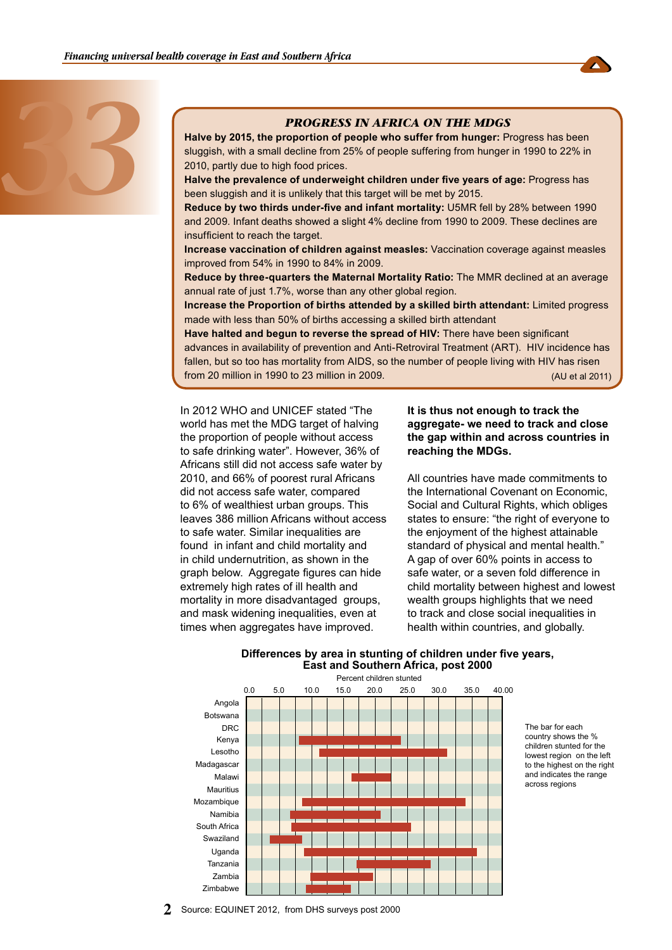



#### *PROGRESS IN AFRICA ON THE MDGS*

**Halve by 2015, the proportion of people who suffer from hunger:** Progress has been sluggish, with a small decline from 25% of people suffering from hunger in 1990 to 22% in 2010, partly due to high food prices.

**Halve the prevalence of underweight children under five years of age:** Progress has been sluggish and it is unlikely that this target will be met by 2015.

**Reduce by two thirds under-five and infant mortality:** U5MR fell by 28% between 1990 and 2009. Infant deaths showed a slight 4% decline from 1990 to 2009. These declines are insufficient to reach the target.

**Increase vaccination of children against measles:** Vaccination coverage against measles improved from 54% in 1990 to 84% in 2009.

**Reduce by three-quarters the Maternal Mortality Ratio:** The MMR declined at an average annual rate of just 1.7%, worse than any other global region.

**Increase the Proportion of births attended by a skilled birth attendant:** Limited progress made with less than 50% of births accessing a skilled birth attendant

**Have halted and begun to reverse the spread of HIV:** There have been significant advances in availability of prevention and Anti-Retroviral Treatment (ART). HIV incidence has fallen, but so too has mortality from AIDS, so the number of people living with HIV has risen from 20 million in 1990 to 23 million in 2009. (AU et al 2011)

In 2012 WHO and UNICEF stated "The world has met the MDG target of halving the proportion of people without access to safe drinking water". However, 36% of Africans still did not access safe water by 2010, and 66% of poorest rural Africans did not access safe water, compared to 6% of wealthiest urban groups. This leaves 386 million Africans without access to safe water. Similar inequalities are found in infant and child mortality and in child undernutrition, as shown in the graph below. Aggregate figures can hide extremely high rates of ill health and mortality in more disadvantaged groups, and mask widening inequalities, even at times when aggregates have improved.

#### **It is thus not enough to track the aggregate- we need to track and close the gap within and across countries in reaching the MDGs.**

All countries have made commitments to the International Covenant on Economic, Social and Cultural Rights, which obliges states to ensure: "the right of everyone to the enjoyment of the highest attainable standard of physical and mental health." A gap of over 60% points in access to safe water, or a seven fold difference in child mortality between highest and lowest wealth groups highlights that we need to track and close social inequalities in health within countries, and globally.



#### **Differences by area in stunting of children under five years, East and Southern Africa, post 2000**

The bar for each country shows the % children stunted for the lowest region on the left to the highest on the right and indicates the range across regions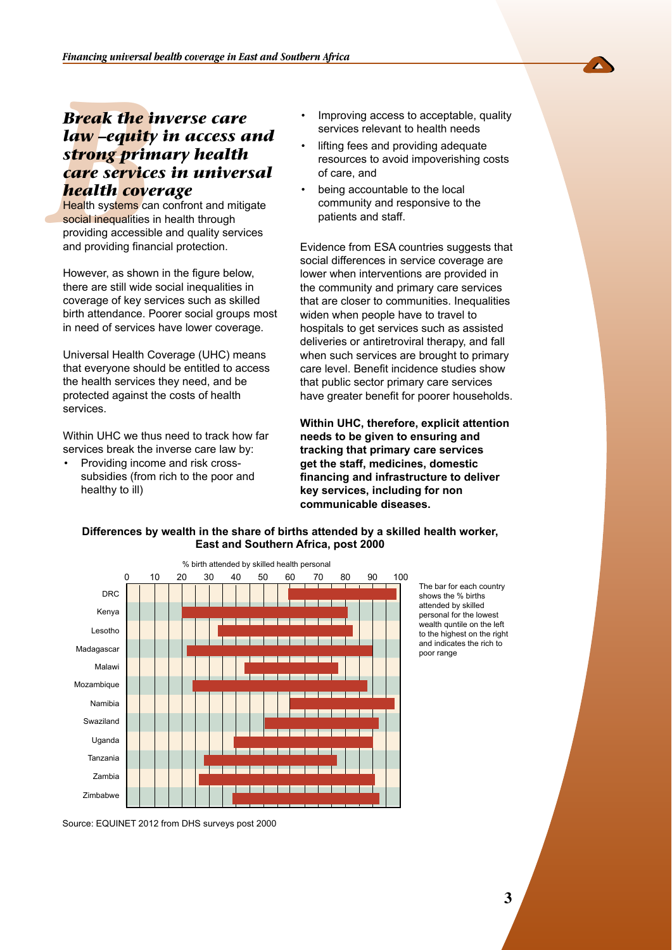## **Break the information of the internal depth**<br>*Strong prince service***<br><b>health cove**<br>**Health systems can social inequalities internal systems** can social inequalities in providing accessible *Break the inverse care law –equity in access and strong primary health care services in universal health coverage*

**Health systems** can confront and mitigate social inequalities in health through providing accessible and quality services and providing financial protection.

However, as shown in the figure below, there are still wide social inequalities in coverage of key services such as skilled birth attendance. Poorer social groups most in need of services have lower coverage.

Universal Health Coverage (UHC) means that everyone should be entitled to access the health services they need, and be protected against the costs of health services.

Within UHC we thus need to track how far services break the inverse care law by:

• Providing income and risk crosssubsidies (from rich to the poor and healthy to ill)

- Improving access to acceptable, quality services relevant to health needs
- lifting fees and providing adequate resources to avoid impoverishing costs of care, and
- being accountable to the local community and responsive to the patients and staff.

Evidence from ESA countries suggests that social differences in service coverage are lower when interventions are provided in the community and primary care services that are closer to communities. Inequalities widen when people have to travel to hospitals to get services such as assisted deliveries or antiretroviral therapy, and fall when such services are brought to primary care level. Benefit incidence studies show that public sector primary care services have greater benefit for poorer households.

**Within UHC, therefore, explicit attention needs to be given to ensuring and tracking that primary care services get the staff, medicines, domestic financing and infrastructure to deliver key services, including for non communicable diseases.** 



**Differences by wealth in the share of births attended by a skilled health worker, East and Southern Africa, post 2000**

> The bar for each country shows the % births attended by skilled personal for the lowest wealth quntile on the left to the highest on the right and indicates the rich to poor range

Source: EQUINET 2012 from DHS surveys post 2000